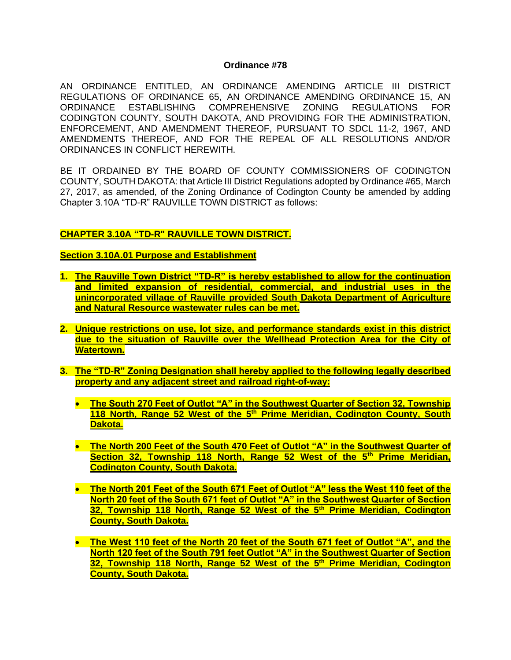#### **Ordinance #78**

AN ORDINANCE ENTITLED, AN ORDINANCE AMENDING ARTICLE III DISTRICT REGULATIONS OF ORDINANCE 65, AN ORDINANCE AMENDING ORDINANCE 15, AN ORDINANCE ESTABLISHING COMPREHENSIVE ZONING REGULATIONS FOR CODINGTON COUNTY, SOUTH DAKOTA, AND PROVIDING FOR THE ADMINISTRATION, ENFORCEMENT, AND AMENDMENT THEREOF, PURSUANT TO SDCL 11-2, 1967, AND AMENDMENTS THEREOF, AND FOR THE REPEAL OF ALL RESOLUTIONS AND/OR ORDINANCES IN CONFLICT HEREWITH.

BE IT ORDAINED BY THE BOARD OF COUNTY COMMISSIONERS OF CODINGTON COUNTY, SOUTH DAKOTA: that Article III District Regulations adopted by Ordinance #65, March 27, 2017, as amended, of the Zoning Ordinance of Codington County be amended by adding Chapter 3.10A "TD-R" RAUVILLE TOWN DISTRICT as follows:

### **CHAPTER 3.10A "TD-R" RAUVILLE TOWN DISTRICT.**

#### **Section 3.10A.01 Purpose and Establishment**

- **1. The Rauville Town District "TD-R" is hereby established to allow for the continuation and limited expansion of residential, commercial, and industrial uses in the unincorporated village of Rauville provided South Dakota Department of Agriculture and Natural Resource wastewater rules can be met.**
- **2. Unique restrictions on use, lot size, and performance standards exist in this district due to the situation of Rauville over the Wellhead Protection Area for the City of Watertown.**
- **3. The "TD-R" Zoning Designation shall hereby applied to the following legally described property and any adjacent street and railroad right-of-way:**
	- **The South 270 Feet of Outlot "A" in the Southwest Quarter of Section 32, Township 118 North, Range 52 West of the 5th Prime Meridian, Codington County, South Dakota.**
	- **The North 200 Feet of the South 470 Feet of Outlot "A" in the Southwest Quarter of Section 32, Township 118 North, Range 52 West of the 5th Prime Meridian, Codington County, South Dakota.**
	- **The North 201 Feet of the South 671 Feet of Outlot "A" less the West 110 feet of the North 20 feet of the South 671 feet of Outlot "A" in the Southwest Quarter of Section 32, Township 118 North, Range 52 West of the 5th Prime Meridian, Codington County, South Dakota.**
	- **The West 110 feet of the North 20 feet of the South 671 feet of Outlot "A", and the North 120 feet of the South 791 feet Outlot "A" in the Southwest Quarter of Section 32, Township 118 North, Range 52 West of the 5th Prime Meridian, Codington County, South Dakota.**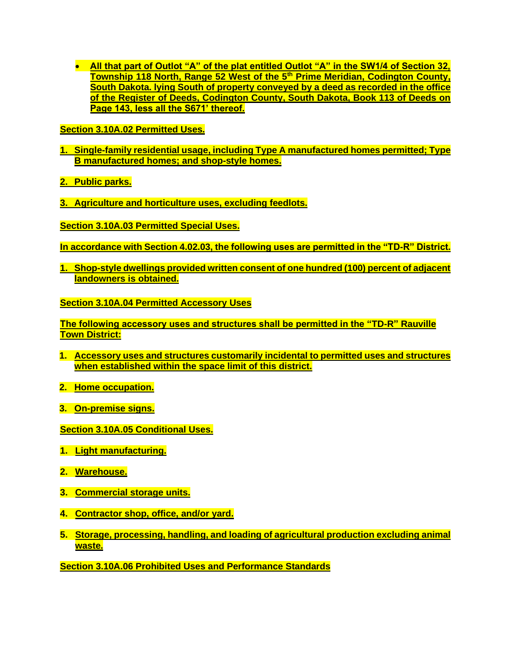• **All that part of Outlot "A" of the plat entitled Outlot "A" in the SW1/4 of Section 32, Township 118 North, Range 52 West of the 5th Prime Meridian, Codington County, South Dakota. lying South of property conveyed by a deed as recorded in the office of the Register of Deeds, Codington County, South Dakota, Book 113 of Deeds on Page 143, less all the S671' thereof.**

**Section 3.10A.02 Permitted Uses.**

- **1. Single-family residential usage, including Type A manufactured homes permitted; Type B manufactured homes; and shop-style homes.**
- **2. Public parks.**
- **3. Agriculture and horticulture uses, excluding feedlots.**
- **Section 3.10A.03 Permitted Special Uses.**
- **In accordance with Section 4.02.03, the following uses are permitted in the "TD-R" District.**
- **1. Shop-style dwellings provided written consent of one hundred (100) percent of adjacent landowners is obtained.**

**Section 3.10A.04 Permitted Accessory Uses**

**The following accessory uses and structures shall be permitted in the "TD-R" Rauville Town District:**

- **1. Accessory uses and structures customarily incidental to permitted uses and structures when established within the space limit of this district.**
- **2. Home occupation.**
- **3. On-premise signs.**

**Section 3.10A.05 Conditional Uses.**

- **1. Light manufacturing.**
- **2. Warehouse.**
- **3. Commercial storage units.**
- **4. Contractor shop, office, and/or yard.**
- **5. Storage, processing, handling, and loading of agricultural production excluding animal waste.**

**Section 3.10A.06 Prohibited Uses and Performance Standards**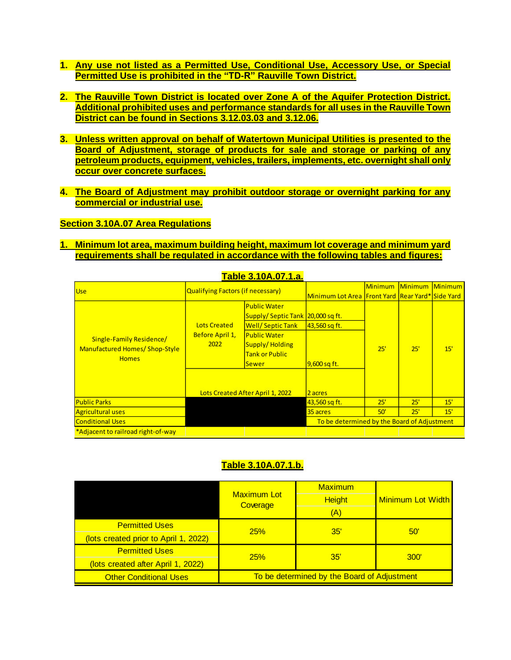- **1. Any use not listed as a Permitted Use, Conditional Use, Accessory Use, or Special Permitted Use is prohibited in the "TD-R" Rauville Town District.**
- **2. The Rauville Town District is located over Zone A of the Aquifer Protection District. Additional prohibited uses and performance standards for all uses in the Rauville Town District can be found in Sections 3.12.03.03 and 3.12.06.**
- **3. Unless written approval on behalf of Watertown Municipal Utilities is presented to the Board of Adjustment, storage of products for sale and storage or parking of any petroleum products, equipment, vehicles, trailers, implements, etc. overnight shall only occur over concrete surfaces.**
- **4. The Board of Adjustment may prohibit outdoor storage or overnight parking for any commercial or industrial use.**

#### **Section 3.10A.07 Area Regulations**

**1. Minimum lot area, maximum building height, maximum lot coverage and minimum yard requirements shall be regulated in accordance with the following tables and figures:**

|                                                                            |                                                | <u>Table 3.TUA.U7.T.a.</u>                                                                                                                                                                        |                                                     |         |                        |     |
|----------------------------------------------------------------------------|------------------------------------------------|---------------------------------------------------------------------------------------------------------------------------------------------------------------------------------------------------|-----------------------------------------------------|---------|------------------------|-----|
| Use                                                                        | Qualifying Factors (if necessary)              |                                                                                                                                                                                                   | Minimum Lot Area IFront Yard   Rear Yard* Side Yard | Minimum | <b>Minimum Minimum</b> |     |
| Single-Family Residence/<br>Manufactured Homes/ Shop-Style<br><b>Homes</b> | <b>Lots Created</b><br>Before April 1,<br>2022 | <b>Public Water</b><br>Supply/Septic Tank 20,000 sq ft.<br><b>Well/Septic Tank</b><br><b>Public Water</b><br>Supply/Holding<br>Tank or Public<br><b>Sewer</b><br>Lots Created After April 1, 2022 | 43,560 sq ft.<br>9,600 sq ft.<br>2 acres            | 25'     | 25'                    | 15' |
| <b>Public Parks</b>                                                        |                                                |                                                                                                                                                                                                   | 43,560 sq ft.                                       | 25'     | 25'                    | 15' |
| <b>Agricultural uses</b>                                                   |                                                |                                                                                                                                                                                                   | 35 acres                                            | 50'     | 25'                    | 15' |
| <b>Conditional Uses</b>                                                    |                                                |                                                                                                                                                                                                   | To be determined by the Board of Adjustment         |         |                        |     |
| *Adjacent to railroad right-of-way                                         |                                                |                                                                                                                                                                                                   |                                                     |         |                        |     |

# **Table 3.10A.07.1.a.**

## **Table 3.10A.07.1.b.**

|                                       |                                             | Maximum       | <b>Minimum Lot Width</b> |  |  |
|---------------------------------------|---------------------------------------------|---------------|--------------------------|--|--|
|                                       | <b>Maximum Lot</b><br>Coverage              | <b>Height</b> |                          |  |  |
|                                       |                                             | (A)           |                          |  |  |
| <b>Permitted Uses</b>                 | 25%                                         | 35'           | 50'                      |  |  |
| (lots created prior to April 1, 2022) |                                             |               |                          |  |  |
| <b>Permitted Uses</b>                 | 25%                                         | 35'           | 300'                     |  |  |
| (lots created after April 1, 2022)    |                                             |               |                          |  |  |
| <b>Other Conditional Uses</b>         | To be determined by the Board of Adjustment |               |                          |  |  |